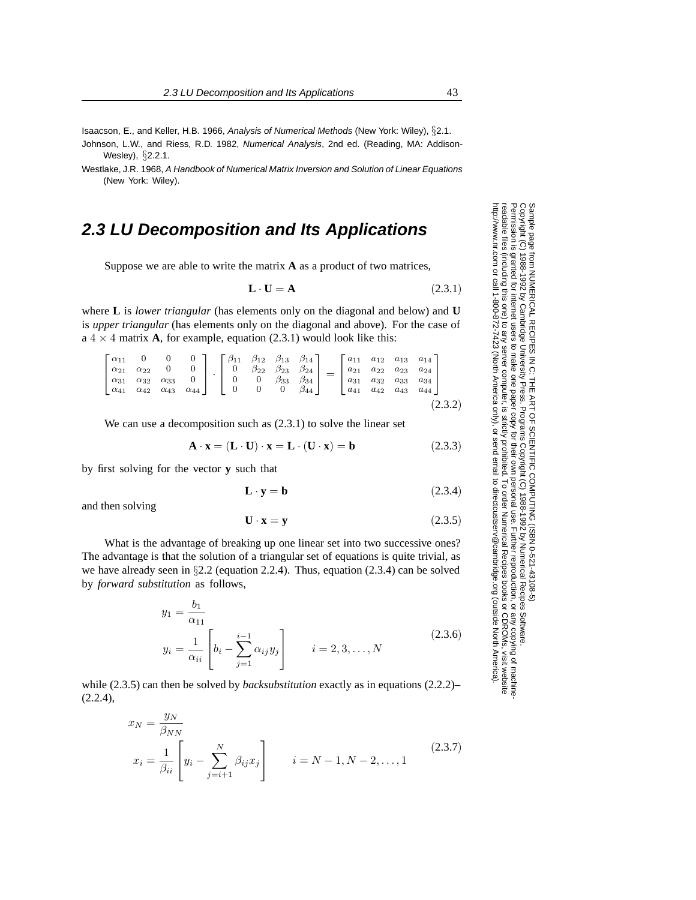Isaacson, E., and Keller, H.B. 1966, Analysis of Numerical Methods (New York: Wiley), §2.1. Johnson, L.W., and Riess, R.D. 1982, Numerical Analysis, 2nd ed. (Reading, MA: Addison-Wesley), §2.2.1.

Westlake, J.R. 1968, A Handbook of Numerical Matrix Inversion and Solution of Linear Equations (New York: Wiley).

## **2.3 LU Decomposition and Its Applications**

Suppose we are able to write the matrix **A** as a product of two matrices,

$$
\mathbf{L} \cdot \mathbf{U} = \mathbf{A} \tag{2.3.1}
$$

where **L** is *lower triangular* (has elements only on the diagonal and below) and **U** is *upper triangular* (has elements only on the diagonal and above). For the case of a  $4 \times 4$  matrix **A**, for example, equation (2.3.1) would look like this:

|  |  |  |  |  |  | $\begin{bmatrix} \alpha_{11} & 0 & 0 & 0 \ \alpha_{21} & \alpha_{22} & 0 & 0 \ \alpha_{31} & \alpha_{32} & \alpha_{33} & 0 \ \alpha_{41} & \alpha_{42} & \alpha_{43} & \alpha_{44} \end{bmatrix} \cdot \begin{bmatrix} \beta_{11} & \beta_{12} & \beta_{13} & \beta_{14} \\ 0 & \beta_{22} & \beta_{23} & \beta_{24} \\ 0 & 0 & \beta_{33} & \beta_{34} \\ 0 & 0 & 0 & \beta_{44} \end{bmatrix} = \begin{bmatrix} a_{11} & a_{12} & a$ |  |  |  |
|--|--|--|--|--|--|----------------------------------------------------------------------------------------------------------------------------------------------------------------------------------------------------------------------------------------------------------------------------------------------------------------------------------------------------------------------------------------------------------------------------------------|--|--|--|
|  |  |  |  |  |  |                                                                                                                                                                                                                                                                                                                                                                                                                                        |  |  |  |
|  |  |  |  |  |  |                                                                                                                                                                                                                                                                                                                                                                                                                                        |  |  |  |
|  |  |  |  |  |  |                                                                                                                                                                                                                                                                                                                                                                                                                                        |  |  |  |

We can use a decomposition such as (2.3.1) to solve the linear set

$$
\mathbf{A} \cdot \mathbf{x} = (\mathbf{L} \cdot \mathbf{U}) \cdot \mathbf{x} = \mathbf{L} \cdot (\mathbf{U} \cdot \mathbf{x}) = \mathbf{b}
$$
 (2.3.3)

by first solving for the vector **y** such that

$$
\mathbf{L} \cdot \mathbf{y} = \mathbf{b} \tag{2.3.4}
$$

and then solving

$$
\mathbf{U} \cdot \mathbf{x} = \mathbf{y} \tag{2.3.5}
$$

What is the advantage of breaking up one linear set into two successive ones? The advantage is that the solution of a triangular set of equations is quite trivial, as we have already seen in  $\S2.2$  (equation 2.2.4). Thus, equation (2.3.4) can be solved by *forward substitution* as follows,

$$
y_1 = \frac{b_1}{\alpha_{11}}
$$
  

$$
y_i = \frac{1}{\alpha_{ii}} \left[ b_i - \sum_{j=1}^{i-1} \alpha_{ij} y_j \right] \qquad i = 2, 3, ..., N
$$
 (2.3.6)

while (2.3.5) can then be solved by *backsubstitution* exactly as in equations (2.2.2)– (2.2.4),

$$
x_N = \frac{y_N}{\beta_{NN}}
$$
  

$$
x_i = \frac{1}{\beta_{ii}} \left[ y_i - \sum_{j=i+1}^N \beta_{ij} x_j \right] \qquad i = N - 1, N - 2, ..., 1
$$
 (2.3.7)

Permission is granted for internet users to make one paper copy for their own personal use. Further reproduction, or any copyin

computer, is strictly prohibited. To order Numerical Recipes books

or send email to directcustserv@cambridge.org (outside North America).

Sample page from NUMERICAL RECIPES IN C: THE ART OF SCIENTIFIC COMPUTING (ISBN 0-521-43108-5)

Programs Copyright (C) 1988-1992 by Numerical Recipes Software.

g of machine-

or CDROMs, visit website

Copyright (C) 1988-1992 by Cambridge University Press.

readable files (including this one) to any server

http://www.nr.com or call 1-800-872-7423 (North America only),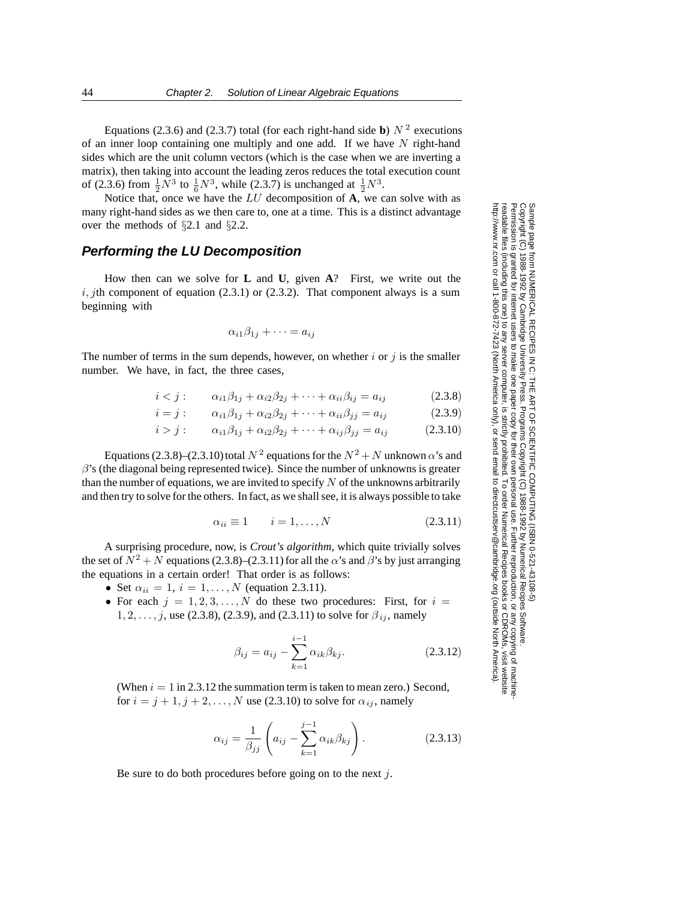Equations (2.3.6) and (2.3.7) total (for each right-hand side **b**)  $N^2$  executions of an inner loop containing one multiply and one add. If we have  $N$  right-hand sides which are the unit column vectors (which is the case when we are inverting a matrix), then taking into account the leading zeros reduces the total execution count of (2.3.6) from  $\frac{1}{2}N^3$  to  $\frac{1}{6}N^3$ , while (2.3.7) is unchanged at  $\frac{1}{2}N^3$ .

Notice that, once we have the LU decomposition of **A**, we can solve with as many right-hand sides as we then care to, one at a time. This is a distinct advantage over the methods of §2.1 and §2.2.

#### **Performing the LU Decomposition**

How then can we solve for **L** and **U**, given **A**? First, we write out the  $i$ , jth component of equation (2.3.1) or (2.3.2). That component always is a sum beginning with

$$
\alpha_{i1}\beta_{1j}+\cdots=a_{ij}
$$

The number of terms in the sum depends, however, on whether  $i$  or  $j$  is the smaller number. We have, in fact, the three cases,

$$
i < j: \qquad \alpha_{i1}\beta_{1j} + \alpha_{i2}\beta_{2j} + \dots + \alpha_{ii}\beta_{ij} = a_{ij} \qquad (2.3.8)
$$

$$
i = j: \qquad \alpha_{i1}\beta_{1j} + \alpha_{i2}\beta_{2j} + \dots + \alpha_{ii}\beta_{jj} = a_{ij} \qquad (2.3.9)
$$

$$
i > j: \qquad \alpha_{i1}\beta_{1j} + \alpha_{i2}\beta_{2j} + \dots + \alpha_{ij}\beta_{jj} = a_{ij} \qquad (2.3.10)
$$

Equations (2.3.8)–(2.3.10) total  $N^2$  equations for the  $N^2 + N$  unknown  $\alpha$ 's and  $\beta$ 's (the diagonal being represented twice). Since the number of unknowns is greater than the number of equations, we are invited to specify  $N$  of the unknowns arbitrarily and then try to solve for the others. In fact, as we shall see, it is always possible to take

$$
\alpha_{ii} \equiv 1 \qquad i = 1, \dots, N \tag{2.3.11}
$$

A surprising procedure, now, is *Crout's algorithm*, which quite trivially solves the set of  $N^2 + N$  equations (2.3.8)–(2.3.11) for all the  $\alpha$ 's and  $\beta$ 's by just arranging the equations in a certain order! That order is as follows:

- Set  $\alpha_{ii} = 1, i = 1, ..., N$  (equation 2.3.11).
- For each  $j = 1, 2, 3, \ldots, N$  do these two procedures: First, for  $i =$ 1, 2,..., *j*, use (2.3.8), (2.3.9), and (2.3.11) to solve for  $\beta_{ij}$ , namely

$$
\beta_{ij} = a_{ij} - \sum_{k=1}^{i-1} \alpha_{ik} \beta_{kj}.
$$
 (2.3.12)

(When  $i = 1$  in 2.3.12 the summation term is taken to mean zero.) Second, for  $i = j + 1, j + 2, \ldots, N$  use (2.3.10) to solve for  $\alpha_{ij}$ , namely

$$
\alpha_{ij} = \frac{1}{\beta_{jj}} \left( a_{ij} - \sum_{k=1}^{j-1} \alpha_{ik} \beta_{kj} \right). \tag{2.3.13}
$$

Be sure to do both procedures before going on to the next  $j$ .

Sample page t<br>Copyright (C) ' Copyright (C) 1988-1992 by Cambridge University Press.Sample page from NUMERICAL RECIPES IN C: THE ART OF SCIENTIFIC COMPUTING (ISBN 0-521-43108-5) http://www.nr.com or call 1-800-872-7423 (North America only),readable files (including this one) to any serverPermission is granted for internet users to make one paper copy for their own personal use. Further reproduction, or any copyin from NUMERICAL RECIPES IN C: THE ART OF SCIENTIFIC COMPUTING (ISBN 0-521-43108-5)<br>1988-1992 by Cambridge University Press. Programs Copyright (C) 1988-1992 by Numnerical Recipes Software computer, is strictly prohibited. To order Numerical Recipes booksPrograms Copyright (C) 1988-1992 by Numerical Recipes Software. or send email to directcustserv@cambridge.org (outside North America). or CDROMs, visit website g of machine-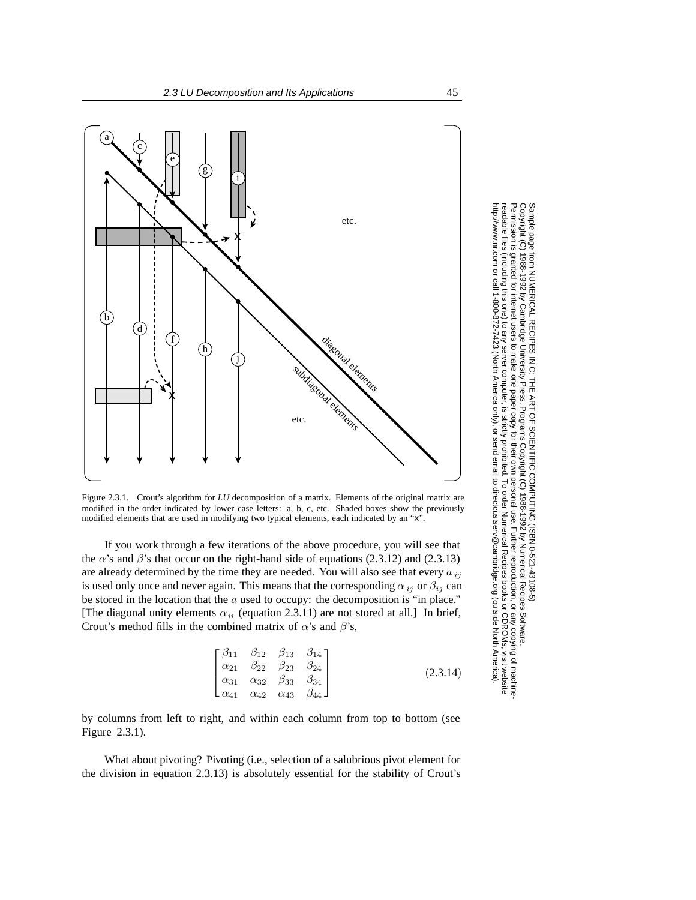

Figure 2.3.1. Crout's algorithm for *LU* decomposition of a matrix. Elements of the original matrix are modified in the order indicated by lower case letters: a, b, c, etc. Shaded boxes show the previously modified elements that are used in modifying two typical elements, each indicated by an "x".

If you work through a few iterations of the above procedure, you will see that the  $\alpha$ 's and  $\beta$ 's that occur on the right-hand side of equations (2.3.12) and (2.3.13) are already determined by the time they are needed. You will also see that every a *ij* is used only once and never again. This means that the corresponding  $\alpha_{ij}$  or  $\beta_{ij}$  can be stored in the location that the a used to occupy: the decomposition is "in place." [The diagonal unity elements  $\alpha_{ii}$  (equation 2.3.11) are not stored at all.] In brief, Crout's method fills in the combined matrix of  $\alpha$ 's and  $\beta$ 's,

$$
\begin{bmatrix}\n\beta_{11} & \beta_{12} & \beta_{13} & \beta_{14} \\
\alpha_{21} & \beta_{22} & \beta_{23} & \beta_{24} \\
\alpha_{31} & \alpha_{32} & \beta_{33} & \beta_{34} \\
\alpha_{41} & \alpha_{42} & \alpha_{43} & \beta_{44}\n\end{bmatrix}
$$
\n(2.3.14)

by columns from left to right, and within each column from top to bottom (see Figure 2.3.1).

What about pivoting? Pivoting (i.e., selection of a salubrious pivot element for the division in equation 2.3.13) is absolutely essential for the stability of Crout's Permission is granted for internet users to make one paper copy for their own personal use. Further reproduction, or any copyin

computer, is strictly prohibited. To order Numerical Recipes books

or send email to directcustserv@cambridge.org (outside North America).

Sample page from NUMERICAL RECIPES IN C: THE ART OF SCIENTIFIC COMPUTING (ISBN 0-521-43108-5)

Programs Copyright (C) 1988-1992 by Numerical Recipes Software.

g of machine-

or CDROMs, visit website

Copyright (C) 1988-1992 by Cambridge University Press.

readable files (including this one) to any server

http://www.nr.com or call 1-800-872-7423 (North America only),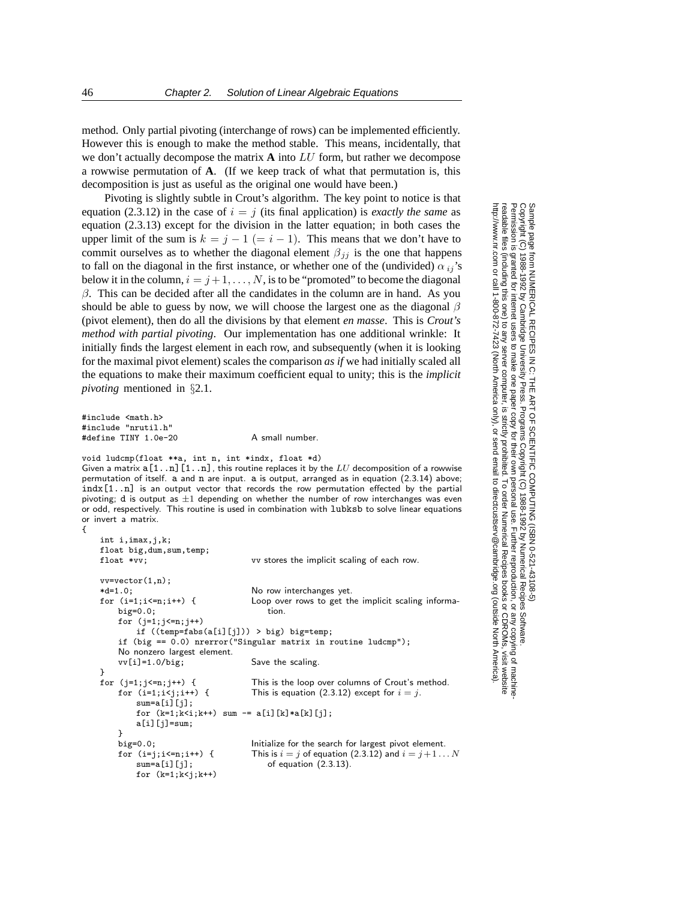method. Only partial pivoting (interchange of rows) can be implemented efficiently. However this is enough to make the method stable. This means, incidentally, that we don't actually decompose the matrix **A** into LU form, but rather we decompose a rowwise permutation of **A**. (If we keep track of what that permutation is, this decomposition is just as useful as the original one would have been.)

Pivoting is slightly subtle in Crout's algorithm. The key point to notice is that equation (2.3.12) in the case of  $i = j$  (its final application) is *exactly the same* as equation (2.3.13) except for the division in the latter equation; in both cases the upper limit of the sum is  $k = j - 1$  (= i - 1). This means that we don't have to commit ourselves as to whether the diagonal element  $\beta_{jj}$  is the one that happens to fall on the diagonal in the first instance, or whether one of the (undivided)  $\alpha_{ij}$ 's below it in the column,  $i = j + 1, \ldots, N$ , is to be "promoted" to become the diagonal  $\beta$ . This can be decided after all the candidates in the column are in hand. As you should be able to guess by now, we will choose the largest one as the diagonal  $\beta$ (pivot element), then do all the divisions by that element *en masse*. This is *Crout's method with partial pivoting*. Our implementation has one additional wrinkle: It initially finds the largest element in each row, and subsequently (when it is looking for the maximal pivot element) scales the comparison *as if* we had initially scaled all the equations to make their maximum coefficient equal to unity; this is the *implicit pivoting* mentioned in §2.1.

#include <math.h> #include "nrutil.h" #define TINY 1.0e-20 A small number.

```
void ludcmp(float **a, int n, int *indx, float *d)
```
Given a matrix  $a[1..n][1..n]$ , this routine replaces it by the  $LU$  decomposition of a rowwise permutation of itself. a and n are input. a is output, arranged as in equation (2.3.14) above; indx[1..n] is an output vector that records the row permutation effected by the partial pivoting; <sup>d</sup> is output as *<sup>±</sup>*<sup>1</sup> depending on whether the number of row interchanges was even or odd, respectively. This routine is used in combination with lubksb to solve linear equations or invert a matrix. {

```
int i,imax,j,k;
float big,dum,sum,temp;
float *vv; vv stores the implicit scaling of each row.
vv=vector(1,n);
*d=1.0; No row interchanges yet.
for (i=1; i \leq n; i++) { Loop over rows to get the implicit scaling informa-
    big=0.0; tion.
    for (j=1; j<=n; j++)if ((temp=fabs(a[i][j])) > big) big=temp;
    if (big == 0.0) nrerror("Singular matrix in routine ludcmp");
    No nonzero largest element.
    vv[i]=1.0/big; Save the scaling.
}
for (j=1;j\leq n;j++ { This is the loop over columns of Crout's method.<br>for (i=1;j\leq j;i++ { This is equation (2.3.12) except for i=j.
                                  This is equation (2.3.12) except for i = j.
        sum=a[i][j];
        for (k=1; k < i; k++) sum -= a[i][k]*a[k][j];a[i][j]=sum;
    }<br>big=0.0;
    big=0.0;<br>
for (i=j; i \le n; i++) {<br>
This is i = j of equation (2.3.12) and i = j+1.
                                  This is i=j of equation (2.3.12) and i = j + 1 \ldots Nsum=a[i][j]; of equation (2.3.13).for (k=1; k< j; k++)
```
Copyright (C) 1988-1992 by Cambridge University Press.Sample page from NUMERICAL RECIPES IN C: THE ART OF SCIENTIFIC COMPUTING (ISBN 0-521-43108-5) http://www.nr.com or call 1-800-872-7423 (North America only),readable files (including this one) to any serverPermission is granted for internet users to make one paper copy for their own personal use. Further reproduction, or any copyin computer, is strictly prohibited. To order Numerical Recipes booksPrograms Copyright (C) 1988-1992 by Numerical Recipes Software. SCIENTIFIC COMPUTING or send email to directcustserv@cambridge.org (outside North America). email to directcustserv@cambridge.org (outside North America). COMPUTING (ISBN 0-521-43108-5)<br>tt (C) 1988-1992 by Numerical Recipes Software.<br>personal use. Further reproduction, or any copying of machine-<br>I. To order Numerical Recipes books or CDROMs, visit website<br>I. To order Numeric or CDROMs, visit website g of machine-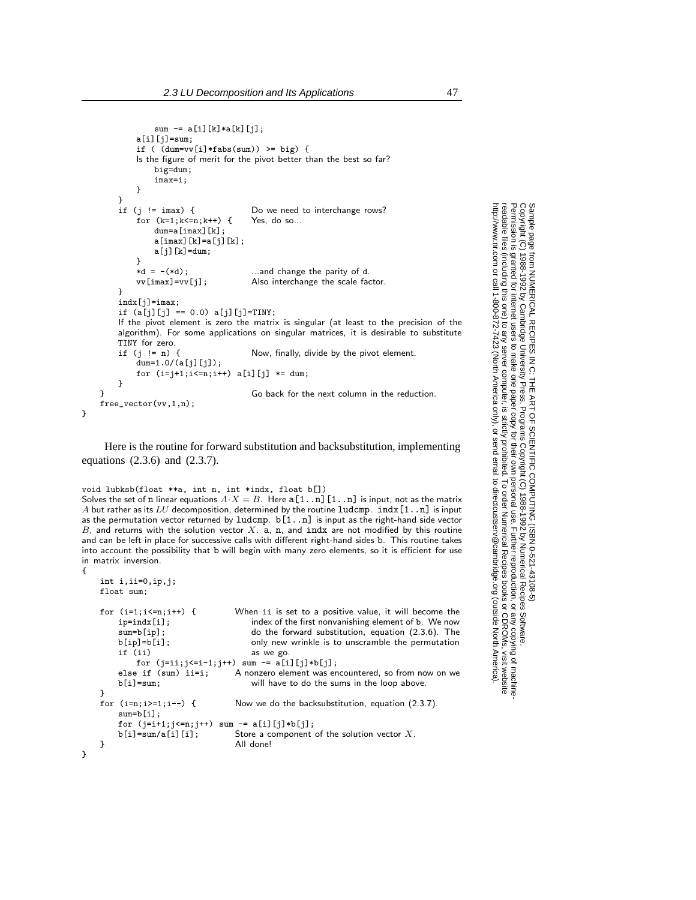```
sum - = a[i][k]*a[k][j];
        a[i][j]=sum;
        if ( (dum=vv[i]*fabs(sum) >= big) {
        Is the figure of merit for the pivot better than the best so far?
            big=dum;
             imax=i;
        }
    }<br>if (j != imax) {
                                    Do we need to interchange rows?<br>Yes. do so...
         for (k=1; k<=n; k++) {
             dum=a[imax][k];
            a[imax][k]=a[j][k];
            a[j][k]=\text{dum};}
        *d = -(*d); ...and change the parity of d.<br>vv[imax]=vv[j]; Also interchange the scale fac
                                    Also interchange the scale factor.
    }
    indx[j] = imax;if (a[i][i] == 0.0) a[i][i] = TINY;If the pivot element is zero the matrix is singular (at least to the precision of the
    algorithm). For some applications on singular matrices, it is desirable to substitute
    TINY for zero.
    if (j != n) { Now, finally, divide by the pivot element.
         dum=1.0/(a[j][j]);
        for (i=j+1; i \le n; i++) a[i][j] *= dum;
    }
} Go back for the next column in the reduction.
free_vector(vv,1,n);
```
Here is the routine for forward substitution and backsubstitution, implementing equations (2.3.6) and (2.3.7).

#### void lubksb(float \*\*a, int n, int \*indx, float b[])

Solves the set of n linear equations  $A \cdot X = B$ . Here  $a[1 \cdot n] [1 \cdot n]$  is input, not as the matrix A but rather as its LU decomposition, determined by the routine ludcmp.  $\texttt{indx}[1..n]$  is input as the permutation vector returned by ludcmp. b[1..n] is input as the right-hand side vector  $B$ , and returns with the solution vector  $X$ . a, n, and indx are not modified by this routine and can be left in place for successive calls with different right-hand sides b. This routine takes into account the possibility that b will begin with many zero elements, so it is efficient for use in matrix inversion.

```
{
```
}

```
int i,ii=0,ip,j;
    float sum;
    for (i=1;i<=n;i++) { When ii is set to a positive value, it will become the
                                          index of the first nonvanishing element of b. We now
                                          do the forward substitution, equation (2.3.6). The
                                          only new wrinkle is to unscramble the permutation
                                          as we go.
        ip=indx[i];
         sum=b[ip];
        b[ip]=b[i];if (ii)
         for (j=i:j<=i-j,j++) sum -= a[i][j]*b[j];<br>else if (sum) ii=i; A nonzero element was en
        else if \overline{(sum)} ii=i; A nonzero element was encountered, so from now on we b[i]=sum; will have to do the sums in the loop above.
                                          will have to do the sums in the loop above.
    }<br>for (i=n;i>=1;i--) {
                                      Now we do the backsubstitution, equation (2.3.7).
         sum=b[i];
         for (j=i+1;j<=n;j++) sum -= a[i][j]*b[j];b[i]=sum/a[i][i]; Store a component of the solution vector X.
    } All done!
}
```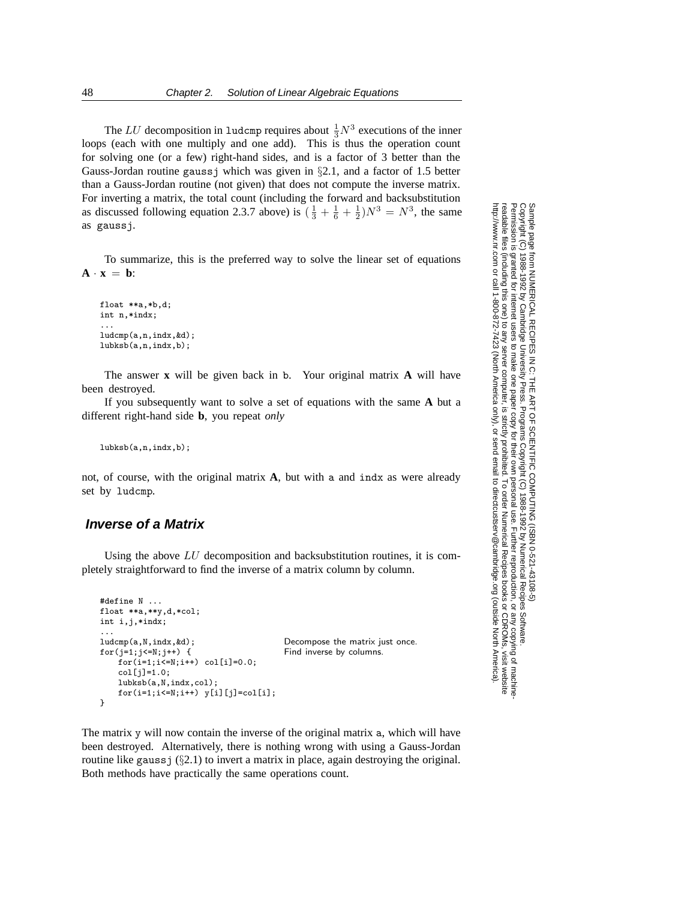The LU decomposition in ludcmp requires about  $\frac{1}{3}N^3$  executions of the inner loops (each with one multiply and one add). This is thus the operation count for solving one (or a few) right-hand sides, and is a factor of 3 better than the Gauss-Jordan routine gauss j which was given in  $\S2.1$ , and a factor of 1.5 better than a Gauss-Jordan routine (not given) that does not compute the inverse matrix. For inverting a matrix, the total count (including the forward and backsubstitution as discussed following equation 2.3.7 above) is  $(\frac{1}{3} + \frac{1}{6} + \frac{1}{2})N^3 = N^3$ , the same as gaussj.

To summarize, this is the preferred way to solve the linear set of equations  $A \cdot x = b$ :

```
float **a,*b,d;
int n,*indx;
...
ludcmp(a,n,indx,&d);
lubksb(a,n,indx,b);
```
The answer **x** will be given back in b. Your original matrix **A** will have been destroyed.

If you subsequently want to solve a set of equations with the same **A** but a different right-hand side **b**, you repeat *only*

lubksb(a,n,indx,b);

not, of course, with the original matrix **A**, but with a and indx as were already set by ludcmp.

#### **Inverse of a Matrix**

Using the above LU decomposition and backsubstitution routines, it is completely straightforward to find the inverse of a matrix column by column.

```
#define N ...
float **a,**y,d,*col;
int i,j,*indx;
...
ludcmp(a,N,indx,&d);<br>for(i=1;i<=N;i++) { Find inverse by columns.
for(j=1; j<=N; j++) {
    for(i=1; i<=N; i++) col[i]=0.0;col[i]=1.0;lubksb(a,N,indx,col);
    for(i=1; i<=N; i++) y[i][j]=col[i];}
```
The matrix y will now contain the inverse of the original matrix a, which will have been destroyed. Alternatively, there is nothing wrong with using a Gauss-Jordan routine like gauss  $j$  (§2.1) to invert a matrix in place, again destroying the original. Both methods have practically the same operations count.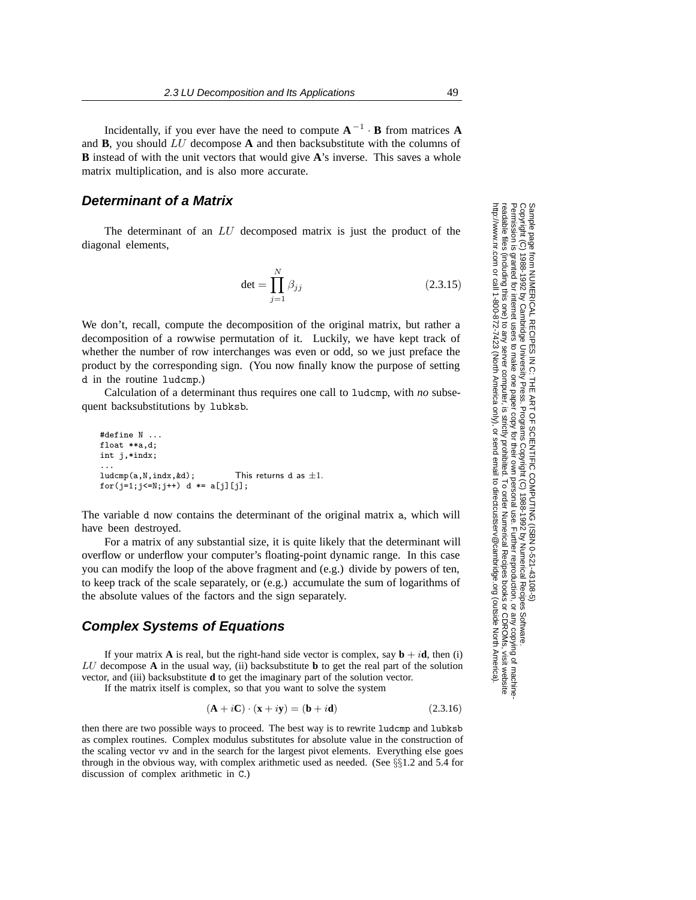Incidentally, if you ever have the need to compute  $A^{-1} \cdot B$  from matrices  $A$ and **B**, you should LU decompose **A** and then backsubstitute with the columns of **B** instead of with the unit vectors that would give **A**'s inverse. This saves a whole matrix multiplication, and is also more accurate.

#### **Determinant of a Matrix**

The determinant of an LU decomposed matrix is just the product of the diagonal elements,

$$
\det = \prod_{j=1}^{N} \beta_{jj} \tag{2.3.15}
$$

We don't, recall, compute the decomposition of the original matrix, but rather a decomposition of a rowwise permutation of it. Luckily, we have kept track of whether the number of row interchanges was even or odd, so we just preface the product by the corresponding sign. (You now finally know the purpose of setting d in the routine ludcmp.)

Calculation of a determinant thus requires one call to ludcmp, with *no* subsequent backsubstitutions by lubksb.

```
#define N ...
float **a,d;
int j,*indx;
...
ludcmp(a,N,indx,&d); This returns d as ±1.
for(j=1;j<=N;j++) d *= a[j][j];
```
The variable d now contains the determinant of the original matrix a, which will have been destroyed.

For a matrix of any substantial size, it is quite likely that the determinant will overflow or underflow your computer's floating-point dynamic range. In this case you can modify the loop of the above fragment and (e.g.) divide by powers of ten, to keep track of the scale separately, or (e.g.) accumulate the sum of logarithms of the absolute values of the factors and the sign separately.

### **Complex Systems of Equations**

If your matrix **A** is real, but the right-hand side vector is complex, say  $\mathbf{b} + i\mathbf{d}$ , then (i) *LU* decompose **A** in the usual way, (ii) backsubstitute **b** to get the real part of the solution vector, and (iii) backsubstitute **d** to get the imaginary part of the solution vector.

If the matrix itself is complex, so that you want to solve the system

$$
(\mathbf{A} + i\mathbf{C}) \cdot (\mathbf{x} + i\mathbf{y}) = (\mathbf{b} + i\mathbf{d})
$$
\n(2.3.16)

then there are two possible ways to proceed. The best way is to rewrite ludcmp and lubksb as complex routines. Complex modulus substitutes for absolute value in the construction of the scaling vector vv and in the search for the largest pivot elements. Everything else goes through in the obvious way, with complex arithmetic used as needed. (See *§§*1.2 and 5.4 for discussion of complex arithmetic in C.)